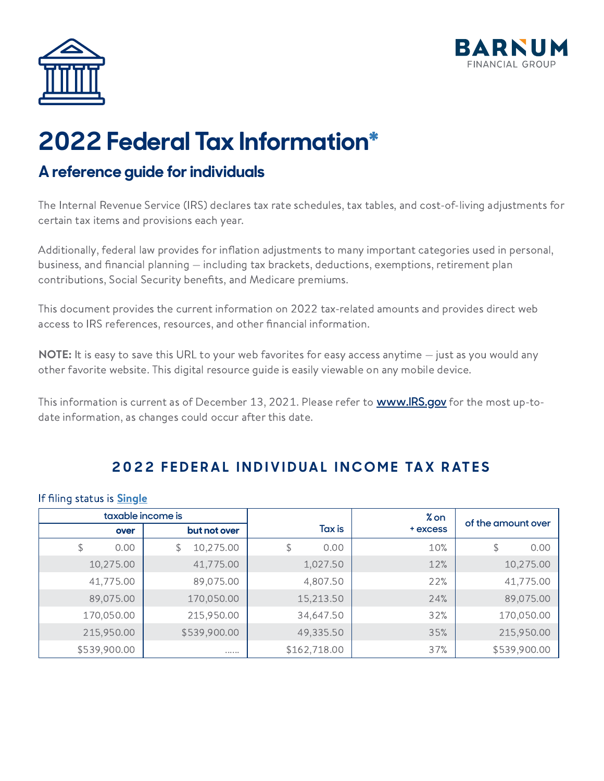



# **2022 Federal Tax Informatio[n\\*](#page-17-0)**

### **A reference guide forindividuals**

The Internal Revenue Service (IRS) declares tax rate schedules, tax tables, and cost-of-living adjustments for certain tax items and provisions each year.

Additionally, federal law provides for inflation adjustments to many important categories used in personal, business, and financial planning — including tax brackets, deductions, exemptions, retirement plan contributions, Social Security benefits, and Medicare premiums.

This document provides the current information on 2022 tax-related amounts and provides direct web access to IRS references, resources, and other financial information.

**NOTE:** It is easy to save this URL to your web favorites for easy access anytime  $-$  just as you would any other favorite website. This digital resource guide is easily viewable on any mobile device.

This information is current as of December 13, 2021. Please refer to **[www.IRS.gov](https://www.irs.gov/)** for the most up-todate information, as changes could occur after this date.

#### **2 0 2 2 F E D E R A L I N D I V I D U A L I N C O M E TA X R AT E S**

#### If filing status is **[Single](https://www.irs.gov/newsroom/why-its-important-that-taxpayers-know-and-understand-their-correct-filing-status)**

|              | taxable income is |              | % on     |                    |
|--------------|-------------------|--------------|----------|--------------------|
| over         | but not over      | Tax is       | + excess | of the amount over |
| \$<br>0.00   | 10,275.00<br>\$   | \$<br>0.00   | 10%      | 0.00<br>\$         |
| 10,275.00    | 41,775.00         | 1,027.50     | 12%      | 10,275.00          |
| 41,775.00    | 89,075.00         | 4,807.50     | 22%      | 41,775.00          |
| 89,075.00    | 170,050.00        | 15,213.50    | 24%      | 89,075.00          |
| 170,050.00   | 215,950.00        | 34,647.50    | 32%      | 170,050.00         |
| 215,950.00   | \$539,900.00      | 49,335.50    | 35%      | 215,950.00         |
| \$539,900.00 |                   | \$162,718.00 | 37%      | \$539,900.00       |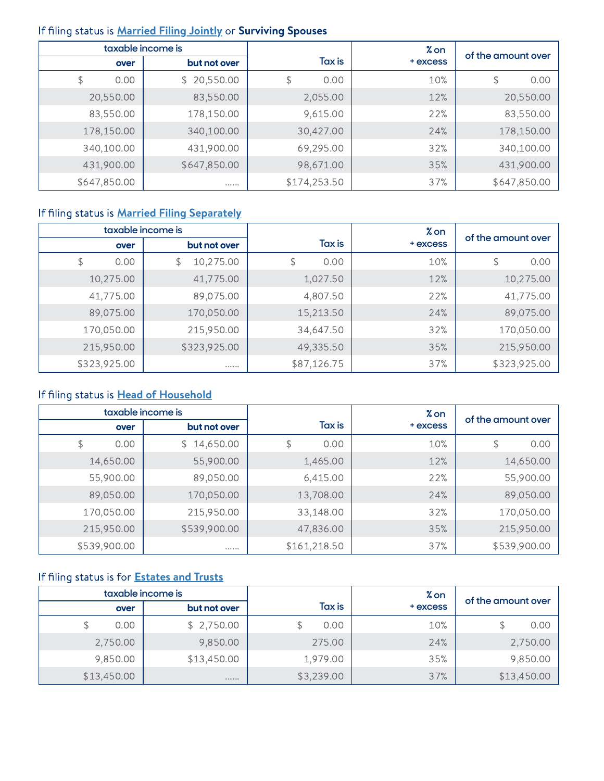#### If filing status is **[Married](https://www.irs.gov/newsroom/why-its-important-that-taxpayers-know-and-understand-their-correct-filing-status) Filing Jointly** or **Surviving Spouses**

|              | taxable income is |              | % on     |                    |
|--------------|-------------------|--------------|----------|--------------------|
| over         | but not over      | Tax is       | + excess | of the amount over |
| 0.00<br>\$   | \$20,550.00       | 0.00<br>\$   | 10%      | 0.00<br>\$         |
| 20,550.00    | 83,550.00         | 2,055.00     | 12%      | 20,550.00          |
| 83,550.00    | 178,150.00        | 9,615.00     | 22%      | 83,550.00          |
| 178,150.00   | 340,100.00        | 30,427.00    | 24%      | 178,150.00         |
| 340,100.00   | 431,900.00        | 69,295.00    | 32%      | 340,100.00         |
| 431,900.00   | \$647,850.00      | 98,671.00    | 35%      | 431,900.00         |
| \$647,850.00 |                   | \$174,253.50 | 37%      | \$647,850.00       |

#### If filing status is **Married Filing [Separately](https://www.irs.gov/newsroom/why-its-important-that-taxpayers-know-and-understand-their-correct-filing-status)**

|              | taxable income is |             | % on     |                    |
|--------------|-------------------|-------------|----------|--------------------|
| over         | but not over      | Tax is      | + excess | of the amount over |
| \$<br>0.00   | 10,275.00<br>\$   | \$<br>0.00  | 10%      | 0.00<br>\$         |
| 10,275.00    | 41,775.00         | 1,027.50    | 12%      | 10,275.00          |
| 41,775.00    | 89,075.00         | 4,807.50    | 22%      | 41,775.00          |
| 89,075.00    | 170,050.00        | 15,213.50   | 24%      | 89,075.00          |
| 170,050.00   | 215,950.00        | 34,647.50   | 32%      | 170,050.00         |
| 215,950.00   | \$323,925.00      | 49,335.50   | 35%      | 215,950.00         |
| \$323,925.00 |                   | \$87,126.75 | 37%      | \$323,925.00       |

#### If filing status is Head of [Household](https://www.irs.gov/newsroom/why-its-important-that-taxpayers-know-and-understand-their-correct-filing-status)

|              | taxable income is |              | % on     |                    |
|--------------|-------------------|--------------|----------|--------------------|
| over         | but not over      | Tax is       | + excess | of the amount over |
| \$<br>0.00   | \$14,650.00       | 0.00<br>\$   | 10%      | 0.00<br>\$         |
| 14,650.00    | 55,900.00         | 1,465.00     | 12%      | 14,650.00          |
| 55,900.00    | 89,050.00         | 6,415.00     | 22%      | 55,900.00          |
| 89,050.00    | 170,050.00        | 13,708.00    | 24%      | 89,050.00          |
| 170,050.00   | 215,950.00        | 33,148.00    | 32%      | 170,050.00         |
| 215,950.00   | \$539,900.00      | 47,836.00    | 35%      | 215,950.00         |
| \$539,900.00 |                   | \$161,218.50 | 37%      | \$539,900.00       |

#### If filing status is for **[Estates](https://www.irs.gov/e-file-providers/estates-and-trusts) and Trusts**

|             | taxable income is |            | % on     | of the amount over |
|-------------|-------------------|------------|----------|--------------------|
| over        | but not over      | Tax is     | + excess |                    |
| 0.00        | \$2,750.00        | 0.00       | 10%      | 0.00               |
| 2,750.00    | 9,850.00          | 275.00     | 24%      | 2,750.00           |
| 9,850.00    | \$13,450.00       | 1,979.00   | 35%      | 9,850.00           |
| \$13,450.00 | 0.000000          | \$3,239.00 | 37%      | \$13,450.00        |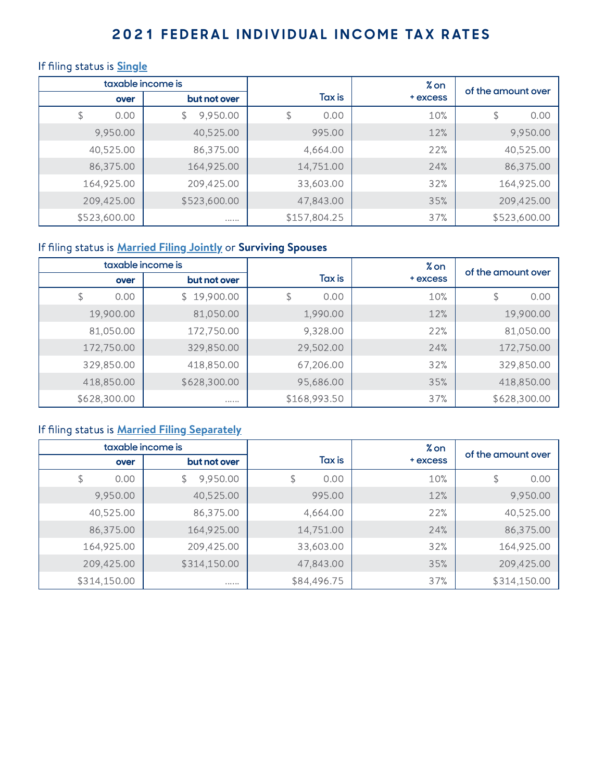#### 2021 FEDERAL INDIVIDUAL INCOME TAX RATES

#### If filing status is **[Single](https://www.irs.gov/newsroom/why-its-important-that-taxpayers-know-and-understand-their-correct-filing-status)**

|              | taxable income is |              | % on     |                    |
|--------------|-------------------|--------------|----------|--------------------|
| over         | but not over      | Tax is       | + excess | of the amount over |
| 0.00<br>\$   | 9,950.00          | \$<br>0.00   | 10%      | 0.00<br>\$         |
| 9,950.00     | 40,525.00         | 995.00       | 12%      | 9,950.00           |
| 40,525.00    | 86,375.00         | 4,664.00     | 22%      | 40,525.00          |
| 86,375.00    | 164,925.00        | 14,751.00    | 24%      | 86,375.00          |
| 164,925.00   | 209,425.00        | 33,603.00    | 32%      | 164,925.00         |
| 209,425.00   | \$523,600.00      | 47,843.00    | 35%      | 209,425.00         |
| \$523,600.00 |                   | \$157,804.25 | 37%      | \$523,600.00       |

#### If filing status is **[Married](https://www.irs.gov/newsroom/why-its-important-that-taxpayers-know-and-understand-their-correct-filing-status) Filing Jointly** or **Surviving Spouses**

|              | taxable income is |              | % on     | of the amount over |
|--------------|-------------------|--------------|----------|--------------------|
| over         | but not over      | Tax is       | + excess |                    |
| \$<br>0.00   | \$19,900.00       | \$<br>0.00   | 10%      | 0.00<br>\$         |
| 19,900.00    | 81,050.00         | 1,990.00     | 12%      | 19,900.00          |
| 81,050.00    | 172,750.00        | 9,328.00     | 22%      | 81,050.00          |
| 172,750.00   | 329,850.00        | 29,502.00    | 24%      | 172,750.00         |
| 329,850.00   | 418,850.00        | 67,206.00    | 32%      | 329,850.00         |
| 418,850.00   | \$628,300.00      | 95,686.00    | 35%      | 418,850.00         |
| \$628,300.00 |                   | \$168,993.50 | 37%      | \$628,300.00       |

#### If filing status is **Married Filing [Separately](https://www.irs.gov/newsroom/why-its-important-that-taxpayers-know-and-understand-their-correct-filing-status)**

|              | taxable income is |             | % on     | of the amount over |
|--------------|-------------------|-------------|----------|--------------------|
| over         | but not over      | Tax is      | + excess |                    |
| \$<br>0.00   | 9,950.00<br>\$    | \$<br>0.00  | 10%      | 0.00<br>\$         |
| 9,950.00     | 40,525.00         | 995.00      | 12%      | 9,950.00           |
| 40,525.00    | 86,375.00         | 4,664.00    | 22%      | 40,525.00          |
| 86,375.00    | 164,925.00        | 14,751.00   | 24%      | 86,375.00          |
| 164,925.00   | 209,425.00        | 33,603.00   | 32%      | 164,925.00         |
| 209,425.00   | \$314,150.00      | 47,843.00   | 35%      | 209,425.00         |
| \$314,150.00 |                   | \$84,496.75 | 37%      | \$314,150.00       |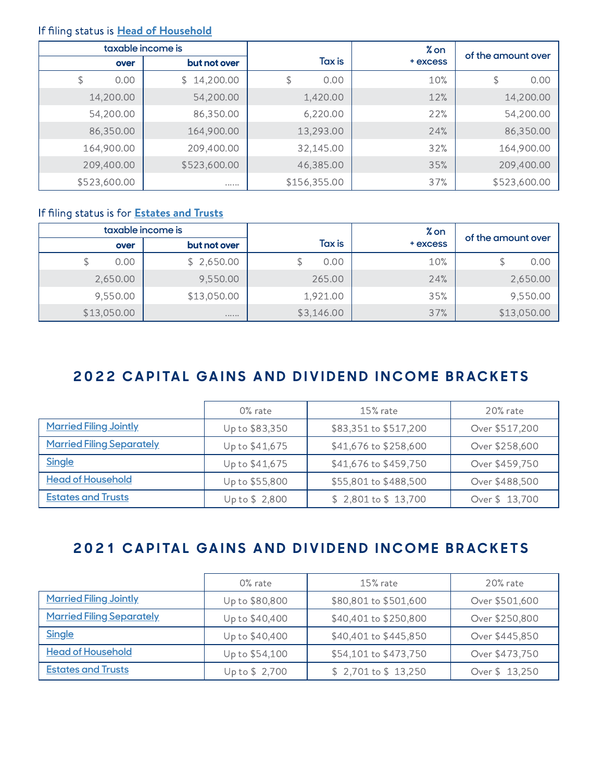#### If filing status is Head of [Household](https://www.irs.gov/newsroom/why-its-important-that-taxpayers-know-and-understand-their-correct-filing-status)

|              | taxable income is |              | % on     |                    |
|--------------|-------------------|--------------|----------|--------------------|
| over         | but not over      | Tax is       | + excess | of the amount over |
| \$<br>0.00   | \$14,200.00       | \$<br>0.00   | 10%      | 0.00<br>\$         |
| 14,200.00    | 54,200.00         | 1,420.00     | 12%      | 14,200.00          |
| 54,200.00    | 86,350.00         | 6,220.00     | 22%      | 54,200.00          |
| 86,350.00    | 164,900.00        | 13,293.00    | 24%      | 86,350.00          |
| 164,900.00   | 209,400.00        | 32,145.00    | 32%      | 164,900.00         |
| 209,400.00   | \$523,600.00      | 46,385.00    | 35%      | 209,400.00         |
| \$523,600.00 |                   | \$156,355.00 | 37%      | \$523,600.00       |

#### If filing status is for **[Estates](https://www.irs.gov/e-file-providers/estates-and-trusts) and Trusts**

|             | taxable income is |            | % on     | of the amount over |
|-------------|-------------------|------------|----------|--------------------|
| over        | but not over      | Tax is     | + excess |                    |
| 0.00        | \$2,650.00        | 0.00       | 10%      | 0.00               |
| 2,650.00    | 9,550.00          | 265.00     | 24%      | 2,650.00           |
| 9,550.00    | \$13,050.00       | 1,921.00   | 35%      | 9,550.00           |
| \$13,050.00 | 0000000           | \$3,146.00 | 37%      | \$13,050.00        |

#### 2022 CAPITAL GAINS AND DIVIDEND INCOME BRACKETS

|                                  | $0\%$ rate     | $15%$ rate            | $20%$ rate     |
|----------------------------------|----------------|-----------------------|----------------|
| <b>Married Filing Jointly</b>    | Up to \$83,350 | \$83,351 to \$517,200 | Over \$517,200 |
| <b>Married Filing Separately</b> | Up to \$41,675 | \$41,676 to \$258,600 | Over \$258,600 |
| <b>Single</b>                    | Up to \$41,675 | \$41,676 to \$459,750 | Over \$459,750 |
| <b>Head of Household</b>         | Up to \$55,800 | \$55,801 to \$488,500 | Over \$488,500 |
| <b>Estates and Trusts</b>        | Up to \$2,800  | $$2,801$ to $$13,700$ | Over \$13,700  |

#### 2021 CAPITAL GAINS AND DIVIDEND INCOME BRACKETS

|                                  | 0% rate        | $15%$ rate            | $20\%$ rate    |
|----------------------------------|----------------|-----------------------|----------------|
| <b>Married Filing Jointly</b>    | Up to \$80,800 | \$80,801 to \$501,600 | Over \$501,600 |
| <b>Married Filing Separately</b> | Up to \$40,400 | \$40,401 to \$250,800 | Over \$250,800 |
| <b>Single</b>                    | Up to \$40,400 | \$40,401 to \$445,850 | Over \$445,850 |
| <b>Head of Household</b>         | Up to \$54,100 | \$54,101 to \$473,750 | Over \$473,750 |
| <b>Estates and Trusts</b>        | Up to \$2,700  | $$2,701$ to $$13,250$ | Over \$13,250  |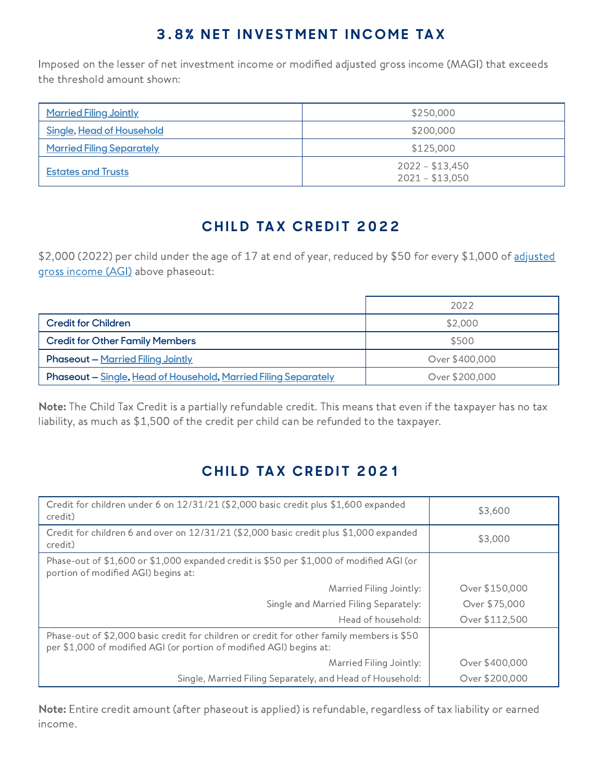### **3.8% NET INVESTMENT INCOME TAX**

Imposed on the lesser of net investment income or modified adjusted gross income (MAGI) that exceeds the threshold amount shown:

| <b>Married Filing Jointly</b>    | \$250,000                            |  |  |
|----------------------------------|--------------------------------------|--|--|
| <b>Single, Head of Household</b> | \$200,000                            |  |  |
| <b>Married Filing Separately</b> | \$125,000                            |  |  |
| <b>Estates and Trusts</b>        | $2022 - $13,450$<br>$2021 - $13,050$ |  |  |

### **C H I L D TA X C R E D I T 2 0 2 2**

\$2,000 (2022) per child under the age of 17 at end of year, reduced by \$50 for every \$1,000 of adjusted gross income (AGI) above [phaseout:](https://www.irs.gov/e-file-providers/definition-of-adjusted-gross-income)

|                                                                 | 2022           |
|-----------------------------------------------------------------|----------------|
| <b>Credit for Children</b>                                      | \$2,000        |
| <b>Credit for Other Family Members</b>                          | \$500          |
| <b>Phaseout - Married Filing Jointly</b>                        | Over \$400,000 |
| Phaseout - Single, Head of Household, Married Filing Separately | Over \$200,000 |

Note: The Child Tax Credit is a partially refundable credit. This means that even if the taxpayer has no tax liability, as much as \$1,500 of the credit per child can be refunded to the taxpayer.

# **C H I L D TA X C R E D I T 2 0 2 1**

| Credit for children under 6 on 12/31/21 (\$2,000 basic credit plus \$1,600 expanded<br>credit)                                                                   | \$3,600        |
|------------------------------------------------------------------------------------------------------------------------------------------------------------------|----------------|
| Credit for children 6 and over on 12/31/21 (\$2,000 basic credit plus \$1,000 expanded<br>credit)                                                                | \$3,000        |
| Phase-out of \$1,600 or \$1,000 expanded credit is \$50 per \$1,000 of modified AGI (or<br>portion of modified AGI) begins at:                                   |                |
| Married Filing Jointly:                                                                                                                                          | Over \$150,000 |
| Single and Married Filing Separately:                                                                                                                            | Over \$75,000  |
| Head of household:                                                                                                                                               | Over \$112,500 |
| Phase-out of \$2,000 basic credit for children or credit for other family members is \$50<br>per \$1,000 of modified AGI (or portion of modified AGI) begins at: |                |
| Married Filing Jointly:                                                                                                                                          | Over \$400,000 |
| Single, Married Filing Separately, and Head of Household:                                                                                                        | Over \$200,000 |

Note: Entire credit amount (after phaseout is applied) is refundable, regardless of tax liability or earned income.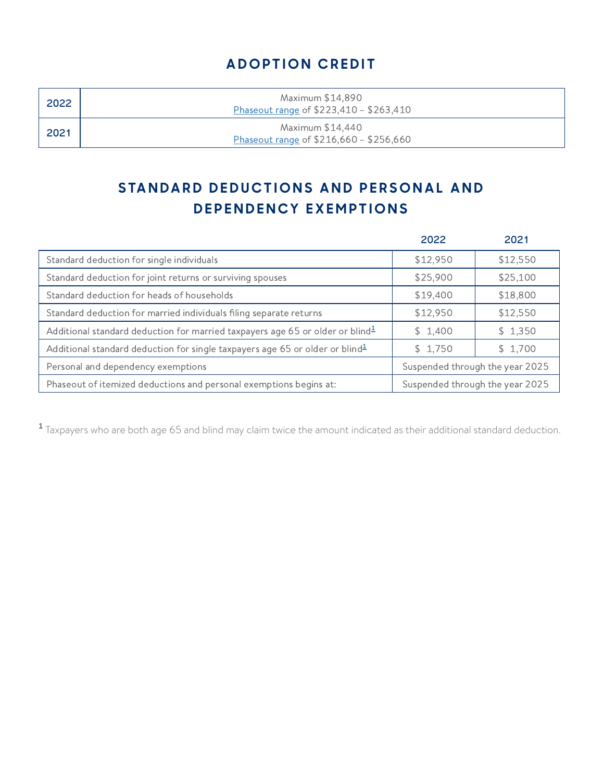### **A D O PT I O N C R E D I T**

| 2022 | Maximum \$14,890<br>Phaseout range of \$223,410 - \$263,410 |
|------|-------------------------------------------------------------|
| 2021 | Maximum \$14,440<br>Phaseout range of \$216,660 - \$256,660 |

# STANDARD DEDUCTIONS AND PERSONAL AND **DEPENDENCY EXEMPTIONS**

|                                                                                                       | 2022                            | 2021     |
|-------------------------------------------------------------------------------------------------------|---------------------------------|----------|
| Standard deduction for single individuals                                                             | \$12,950                        | \$12,550 |
| Standard deduction for joint returns or surviving spouses                                             | \$25,900                        | \$25,100 |
| Standard deduction for heads of households                                                            | \$19,400                        | \$18,800 |
| Standard deduction for married individuals filing separate returns                                    | \$12,950                        | \$12,550 |
| Additional standard deduction for married taxpayers age 65 or older or blind $\frac{1}{2}$            | \$1,400                         | \$1,350  |
| Additional standard deduction for single taxpayers age 65 or older or blind <sup>1</sup>              | \$1,750                         | \$1,700  |
| Personal and dependency exemptions                                                                    | Suspended through the year 2025 |          |
| Phaseout of itemized deductions and personal exemptions begins at:<br>Suspended through the year 2025 |                                 |          |

<span id="page-5-0"></span> $^{\textsf{1}}$  Taxpayers who are both age 65 and blind may claim twice the amount indicated as their additional standard deduction.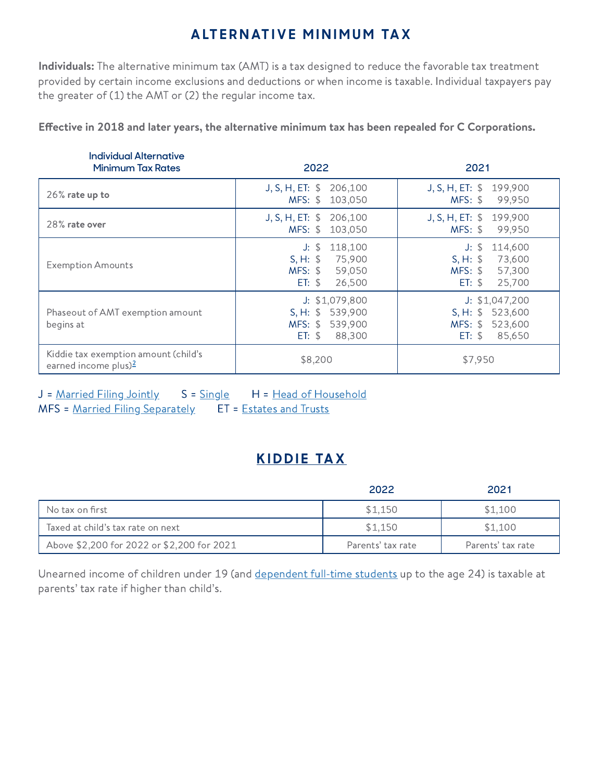### **A LT E R N AT I V E M I N I M U M TA X**

Individuals: The alternative minimum tax (AMT) is a tax designed to reduce the favorable tax treatment provided by certain income exclusions and deductions or when income is taxable. Individual taxpayers pay the greater of  $(1)$  the AMT or  $(2)$  the regular income tax.

Effective in 2018 and later years, the alternative minimum tax has been repealed for C Corporations.

| <b>Individual Alternative</b><br><b>Minimum Tax Rates</b>                 | 2022                                                                               | 2021                                                                                  |
|---------------------------------------------------------------------------|------------------------------------------------------------------------------------|---------------------------------------------------------------------------------------|
| $26\%$ rate up to                                                         | J, S, H, ET:<br>206,100<br>MFS: \$ 103,050                                         | J, S, H, ET: \$<br>199,900<br>MFS: \$<br>99,950                                       |
| 28% rate over                                                             | J, S, H, ET: \$206,100<br>MFS: \$<br>103,050                                       | J, S, H, ET: \$ 199,900<br>MFS: \$<br>99,950                                          |
| <b>Exemption Amounts</b>                                                  | 118,100<br>$J:$ \$<br>75,900<br>$S, H: \$<br>MFS: \$<br>59,050<br>ET: \$<br>26,500 | $J:$ \$<br>114,600<br>$S, H:$ \$<br>73,600<br>MFS: \$<br>57,300<br>25,700<br>$ET:$ \$ |
| Phaseout of AMT exemption amount<br>begins at                             | J: \$1,079,800<br>S, H: \$539,900<br>539,900<br>$MFS:$ \$<br>ET: \$<br>88,300      | J: \$1,047,200<br>S, H: \$523,600<br>$MFS:$ \$<br>523,600<br>85,650<br>$ET:$ \$       |
| Kiddie tax exemption amount (child's<br>earned income plus) $\frac{2}{3}$ | \$8,200                                                                            | \$7,950                                                                               |

J = [Married](https://www.irs.gov/newsroom/why-its-important-that-taxpayers-know-and-understand-their-correct-filing-status) Filing Jointly S = [Single](https://www.irs.gov/newsroom/why-its-important-that-taxpayers-know-and-understand-their-correct-filing-status) H = Head of [Household](https://www.irs.gov/newsroom/why-its-important-that-taxpayers-know-and-understand-their-correct-filing-status) MFS = Married Filing [Separately](https://www.irs.gov/newsroom/why-its-important-that-taxpayers-know-and-understand-their-correct-filing-status) ET = [Estates](https://www.irs.gov/e-file-providers/estates-and-trusts) and Trusts

### **K I D D I E [TA](https://www.irs.gov/taxtopics/tc553) X**

|                                            | 2022              | 2021              |
|--------------------------------------------|-------------------|-------------------|
| No tax on first                            | \$1.150           | \$1.100           |
| Taxed at child's tax rate on next          | \$1.150           | \$1,100           |
| Above \$2,200 for 2022 or \$2,200 for 2021 | Parents' tax rate | Parents' tax rate |

Unearned income of children under 19 (and [dependent](https://apps.irs.gov/app/IPAR/resources/help/ftstud.html) full-time students up to the age 24) is taxable at parents' tax rate if higher than child's.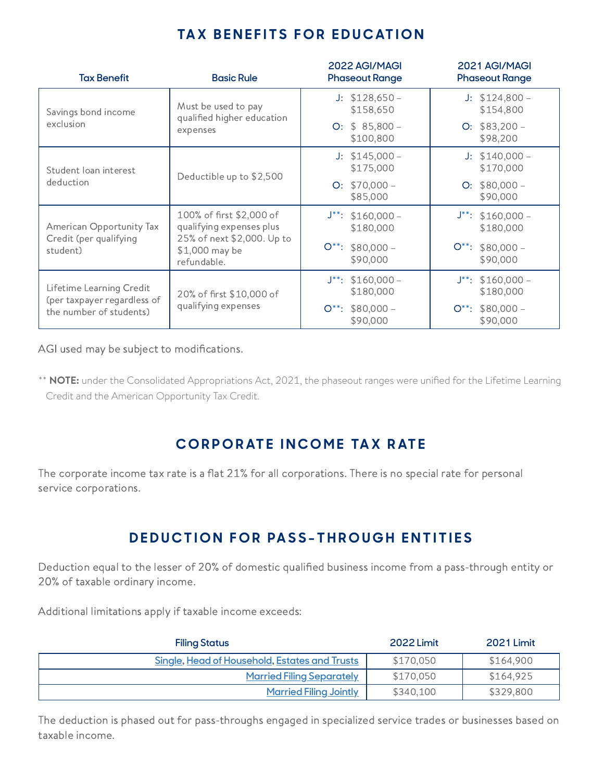#### **TA X B E N E F I T S F O R E D U C AT I O N**

| <b>Tax Benefit</b>                                                                 | <b>Basic Rule</b>                                                                                                   | 2022 AGI/MAGI<br><b>Phaseout Range</b>     | 2021 AGI/MAGI<br><b>Phaseout Range</b> |
|------------------------------------------------------------------------------------|---------------------------------------------------------------------------------------------------------------------|--------------------------------------------|----------------------------------------|
| Savings bond income                                                                | Must be used to pay<br>qualified higher education<br>expenses                                                       | $J:$ \$128,650 -<br>\$158,650              | $J: $124,800 -$<br>\$154,800           |
| exclusion                                                                          |                                                                                                                     | O: $$85,800-$<br>\$100,800                 | $O: $83,200 -$<br>\$98,200             |
| Student loan interest                                                              | Deductible up to \$2,500                                                                                            | $J: $145,000 -$<br>\$175,000               | $J: $140,000 -$<br>\$170,000           |
| deduction                                                                          |                                                                                                                     | $O: $70,000 -$<br>\$85,000                 | $O: $80,000 -$<br>\$90,000             |
| American Opportunity Tax<br>Credit (per qualifying<br>student)                     | 100% of first \$2,000 of<br>qualifying expenses plus<br>25% of next \$2,000. Up to<br>\$1,000 may be<br>refundable. | $J^{**}:$ \$160,000 -<br>\$180,000         | $J^{**}:$ \$160,000 -<br>\$180,000     |
|                                                                                    |                                                                                                                     | $\bigcirc^{**}:$<br>$$80,000-$<br>\$90,000 | $O^{**}$ : \$80,000 -<br>\$90,000      |
| Lifetime Learning Credit<br>(per taxpayer regardless of<br>the number of students) | 20% of first \$10,000 of<br>qualifying expenses                                                                     | $J^*$ : \$160,000 -<br>\$180,000           | $J^*$ : \$160,000 -<br>\$180,000       |
|                                                                                    |                                                                                                                     | $O^{**}$ : \$80,000 -<br>\$90,000          | $O^{**}$ : \$80,000 -<br>\$90,000      |

AGI used may be subject to modifications.

<span id="page-7-0"></span>\*\* NOTE: under the Consolidated Appropriations Act, 2021, the phaseout ranges were unified for the Lifetime Learning Credit and the American Opportunity Tax Credit.

#### $C$  **CORPORATE INCOME TAX RATE**

The corporate income tax rate is a flat 21% for all corporations. There is no special rate for personal service corporations.

### **DEDUCTION FOR PASS-THROUGH ENTITIES**

Deduction equal to the lesser of 20% of domestic qualified business income from a pass-through entity or 20% of taxable ordinary income.

Additional limitations apply if taxable income exceeds:

| <b>Filing Status</b>                          | <b>2022 Limit</b> | <b>2021 Limit</b> |
|-----------------------------------------------|-------------------|-------------------|
| Single, Head of Household, Estates and Trusts | \$170,050         | \$164,900         |
| <u>Married Filing Separately</u>              | \$170,050         | \$164.925         |
| <u>Married Filing Jointly</u>                 | \$340,100         | \$329,800         |

The deduction is phased out for pass-throughs engaged in specialized service trades or businesses based on taxable income.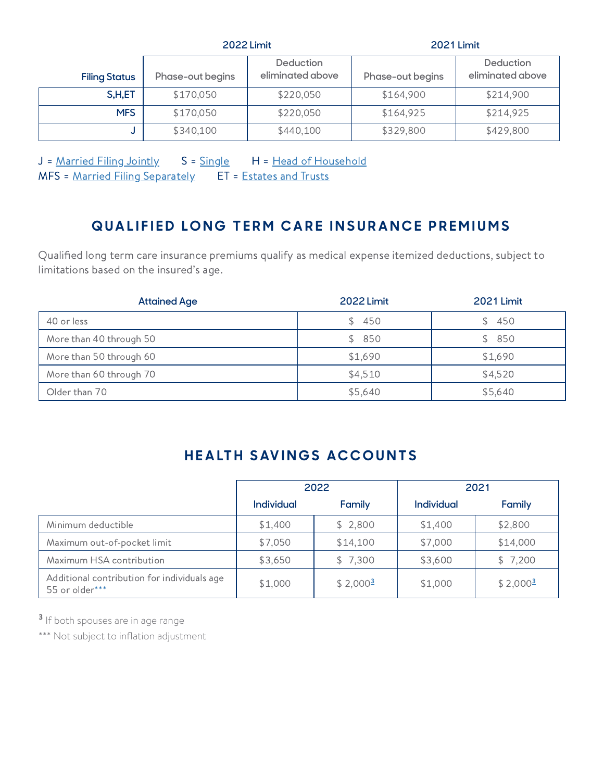|                      | <b>2022 Limit</b>                                        |           | <b>2021 Limit</b> |                               |  |
|----------------------|----------------------------------------------------------|-----------|-------------------|-------------------------------|--|
| <b>Filing Status</b> | <b>Deduction</b><br>eliminated above<br>Phase-out begins |           | Phase-out begins  | Deduction<br>eliminated above |  |
| S,H,ET               | \$170,050                                                | \$220,050 | \$164,900         | \$214,900                     |  |
| <b>MFS</b>           | \$170,050                                                | \$220,050 | \$164,925         | \$214,925                     |  |
|                      | \$340,100                                                | \$440,100 | \$329,800         | \$429,800                     |  |

J = [Married](https://www.irs.gov/newsroom/why-its-important-that-taxpayers-know-and-understand-their-correct-filing-status) Filing Jointly S = [Single](https://www.irs.gov/newsroom/why-its-important-that-taxpayers-know-and-understand-their-correct-filing-status) H = Head of [Household](https://www.irs.gov/newsroom/why-its-important-that-taxpayers-know-and-understand-their-correct-filing-status) MFS = Married Filing [Separately](https://www.irs.gov/newsroom/why-its-important-that-taxpayers-know-and-understand-their-correct-filing-status) ET = [Estates](https://www.irs.gov/e-file-providers/estates-and-trusts) and Trusts

### **QUALIFIED LONG TERM CARE INSURANCE PREMIUMS**

Qualified long term care insurance premiums qualify as medical expense itemized deductions, subject to limitations based on the insured's age.

| <b>Attained Age</b>     | <b>2022 Limit</b> | <b>2021 Limit</b> |
|-------------------------|-------------------|-------------------|
| 40 or less              | 450<br>S.         | 450               |
| More than 40 through 50 | 850<br>S.         | \$850             |
| More than 50 through 60 | \$1,690           | \$1,690           |
| More than 60 through 70 | \$4,510           | \$4,520           |
| Older than 70           | \$5,640           | \$5,640           |

#### **HEALTH SAVINGS ACCOUNTS**

|                                                               | 2022       |            | 2021              |            |
|---------------------------------------------------------------|------------|------------|-------------------|------------|
|                                                               | Individual | Family     | <b>Individual</b> | Family     |
| Minimum deductible                                            | \$1,400    | \$2,800    | \$1,400           | \$2,800    |
| Maximum out-of-pocket limit                                   | \$7,050    | \$14,100   | \$7,000           | \$14,000   |
| Maximum HSA contribution                                      | \$3,650    | \$7,300    | \$3,600           | \$7,200    |
| Additional contribution for individuals age<br>55 or older*** | \$1,000    | $$2,000^3$ | \$1,000           | $$2,000^3$ |

<span id="page-8-0"></span><sup>3</sup> If both spouses are in age range

\*\*\* Not subject to inflation adjustment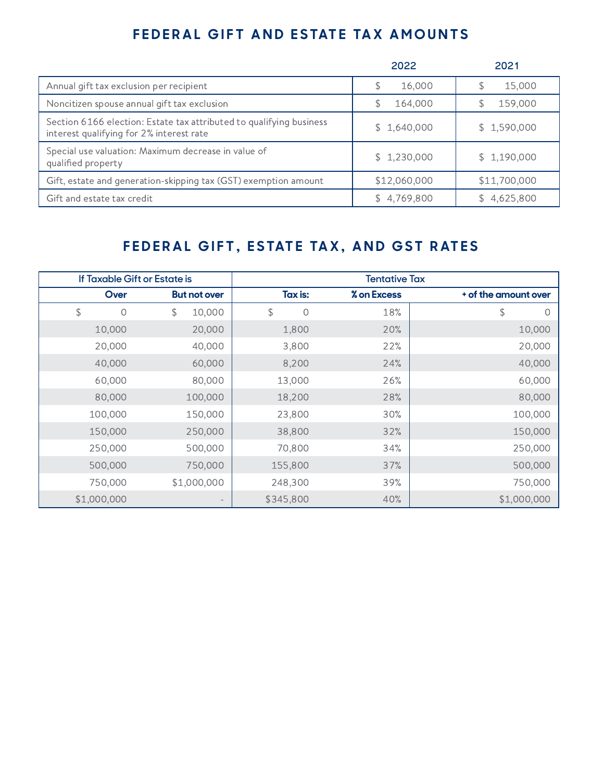#### FEDERAL GIFT AND ESTATE TAX AMOUNTS

|                                                                                                                 | 2022         | 2021            |
|-----------------------------------------------------------------------------------------------------------------|--------------|-----------------|
| Annual gift tax exclusion per recipient                                                                         | 16,000<br>\$ | 15,000          |
| Noncitizen spouse annual gift tax exclusion                                                                     | 164,000<br>S | 159,000         |
| Section 6166 election: Estate tax attributed to qualifying business<br>interest qualifying for 2% interest rate | \$1,640,000  | \$1,590,000     |
| Special use valuation: Maximum decrease in value of<br>qualified property                                       | \$1,230,000  | \$1,190,000     |
| Gift, estate and generation-skipping tax (GST) exemption amount                                                 | \$12,060,000 | \$11,700,000    |
| Gift and estate tax credit                                                                                      | \$4,769,800  | 4,625,800<br>S. |

### FEDERAL GIFT, ESTATE TAX, AND GST RATES

| If Taxable Gift or Estate is |                     | <b>Tentative Tax</b> |             |                      |
|------------------------------|---------------------|----------------------|-------------|----------------------|
| Over                         | <b>But not over</b> | Tax is:              | % on Excess | + of the amount over |
| \$<br>0                      | 10,000<br>\$        | 0<br>\$              | 18%         | \$<br>0              |
| 10,000                       | 20,000              | 1,800                | 20%         | 10,000               |
| 20,000                       | 40,000              | 3,800                | 22%         | 20,000               |
| 40,000                       | 60,000              | 8,200                | 24%         | 40,000               |
| 60,000                       | 80,000              | 13,000               | 26%         | 60,000               |
| 80,000                       | 100,000             | 18,200               | 28%         | 80,000               |
| 100,000                      | 150,000             | 23,800               | 30%         | 100,000              |
| 150,000                      | 250,000             | 38,800               | 32%         | 150,000              |
| 250,000                      | 500,000             | 70,800               | 34%         | 250,000              |
| 500,000                      | 750,000             | 155,800              | 37%         | 500,000              |
| 750,000                      | \$1,000,000         | 248,300              | 39%         | 750,000              |
| \$1,000,000                  |                     | \$345,800            | 40%         | \$1,000,000          |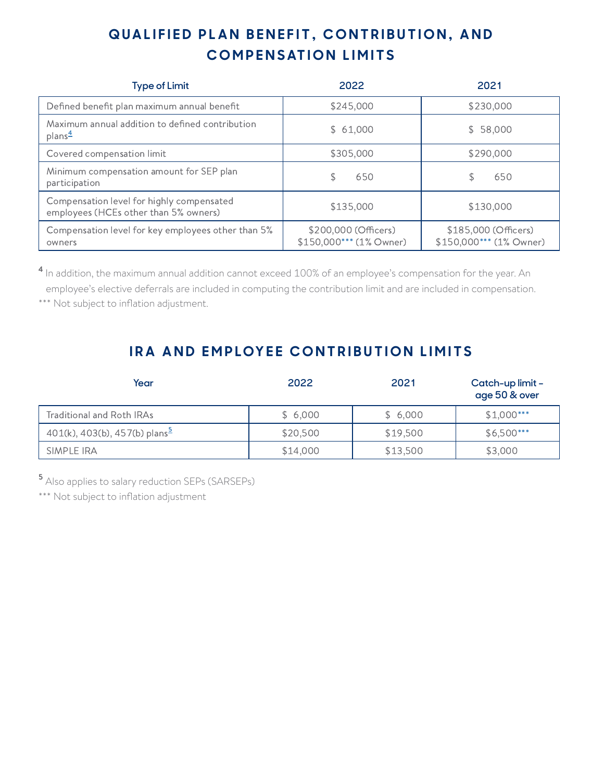# QUALIFIED PLAN BENEFIT, CONTRIBUTION, AND  $COMPENSATION LIMITS$

<span id="page-10-2"></span>

| <b>Type of Limit</b>                                                               | 2022                                            | 2021                                            |
|------------------------------------------------------------------------------------|-------------------------------------------------|-------------------------------------------------|
| Defined benefit plan maximum annual benefit                                        | \$245,000                                       | \$230,000                                       |
| Maximum annual addition to defined contribution<br>plans <sup>4</sup>              | \$61,000                                        | \$ 58,000                                       |
| Covered compensation limit                                                         | \$305,000                                       | \$290,000                                       |
| Minimum compensation amount for SEP plan<br>participation                          | 650                                             | 650                                             |
| Compensation level for highly compensated<br>employees (HCEs other than 5% owners) | \$135,000                                       | \$130,000                                       |
| Compensation level for key employees other than 5%<br>owners                       | \$200,000 (Officers)<br>\$150,000*** (1% Owner) | \$185,000 (Officers)<br>\$150,000*** (1% Owner) |

<span id="page-10-1"></span> $^{\text{4}}$  In addition, the maximum annual addition cannot exceed 100% of an employee's compensation for the year. An employee's elective deferrals are included in computing the contribution limit and are included in compensation. \*\*\* Not subject to inflation adjustment.

### **IRA AND EMPLOYEE CONTRIBUTION LIMITS**

<span id="page-10-3"></span>

| Year                                      | 2022     | 2021     | Catch-up limit -<br>age 50 & over |
|-------------------------------------------|----------|----------|-----------------------------------|
| Traditional and Roth IRAs                 | \$6,000  | \$6,000  | $$1,000***$                       |
| 401(k), 403(b), 457(b) plans <sup>5</sup> | \$20,500 | \$19,500 | $$6,500***$                       |
| SIMPLE IRA                                | \$14,000 | \$13,500 | \$3,000                           |

<span id="page-10-0"></span>**5** Also applies to salary reduction SEPs (SARSEPs)

\*\*\* Not subject to inflation adjustment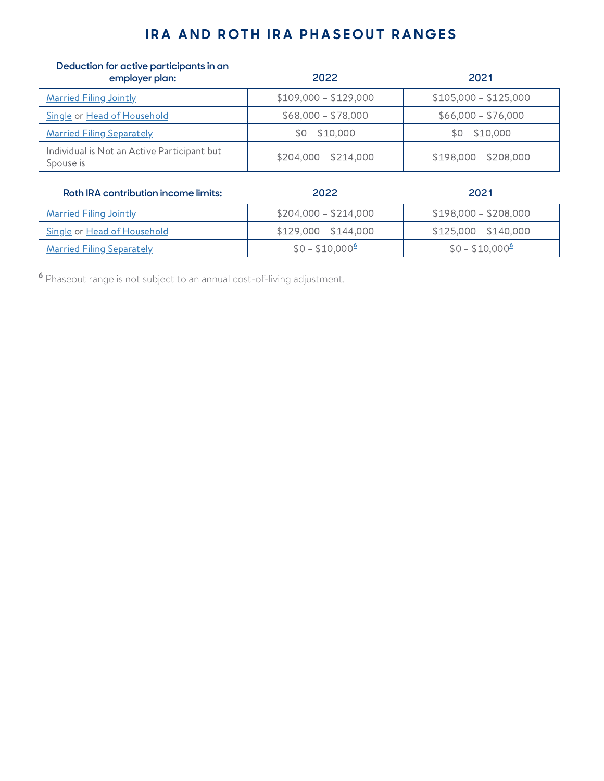#### **IRA AND ROTH IRA PHASEOUT RANGES**

| Deduction for active participants in an<br>employer plan: | 2022                  | 2021                  |
|-----------------------------------------------------------|-----------------------|-----------------------|
| <b>Married Filing Jointly</b>                             | $$109,000 - $129,000$ | $$105,000 - $125,000$ |
| Single or Head of Household                               | $$68,000 - $78,000$   | $$66,000 - $76,000$   |
| <b>Married Filing Separately</b>                          | $$0 - $10,000$        | $$0 - $10,000$        |
| Individual is Not an Active Participant but<br>Spouse is  | $$204,000 - $214,000$ | $$198,000 - $208,000$ |
| Roth IRA contribution income limits:                      | 2022                  | 2021                  |
| <b>Married Filing Jointly</b>                             | $$204,000 - $214,000$ | $$198,000 - $208,000$ |
|                                                           |                       |                       |

 $\frac{\text{Single or Head of Household}}{\text{#} \cdot \text{#}}$  $\frac{\text{Single or Head of Household}}{\text{#} \cdot \text{#}}$  $\frac{\text{Single or Head of Household}}{\text{#} \cdot \text{#}}$  $\frac{\text{Single or Head of Household}}{\text{#} \cdot \text{#}}$  $\frac{\text{Single or Head of Household}}{\text{#} \cdot \text{#}}$   $\frac{\$129,000 - \$144,000}{\$125,000 - \$140,000}$ 

 $$0 - $10,000^6$$  $$0 - $10,000^6$$  $$0 - $10,000^6$$ 

<span id="page-11-0"></span><sup>6</sup> Phaseout range is not subject to an annual cost-of-living adjustment.

 $\frac{\text{Married Filing Separately}}{\text{for } \pm 10,000^6}$  $\frac{\text{Married Filing Separately}}{\text{for } \pm 10,000^6}$  $\frac{\text{Married Filing Separately}}{\text{for } \pm 10,000^6}$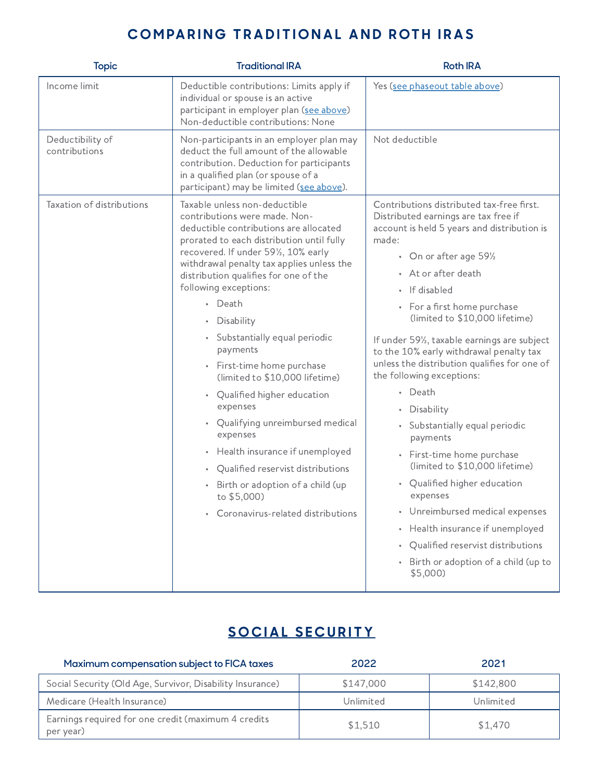### COMPARING TRADITIONAL AND ROTH IRAS

| <b>Topic</b>                      | <b>Traditional IRA</b>                                                                                                                                                                                                                                                                                                                                                                                                                                                                                                                                                                                                                                                                                                                        | <b>Roth IRA</b>                                                                                                                                                                                                                                                                                                                                                                                                                                                                                                                                                                                                                                                                                                                                                                                                                   |
|-----------------------------------|-----------------------------------------------------------------------------------------------------------------------------------------------------------------------------------------------------------------------------------------------------------------------------------------------------------------------------------------------------------------------------------------------------------------------------------------------------------------------------------------------------------------------------------------------------------------------------------------------------------------------------------------------------------------------------------------------------------------------------------------------|-----------------------------------------------------------------------------------------------------------------------------------------------------------------------------------------------------------------------------------------------------------------------------------------------------------------------------------------------------------------------------------------------------------------------------------------------------------------------------------------------------------------------------------------------------------------------------------------------------------------------------------------------------------------------------------------------------------------------------------------------------------------------------------------------------------------------------------|
| Income limit                      | Deductible contributions: Limits apply if<br>individual or spouse is an active<br>participant in employer plan (see above)<br>Non-deductible contributions: None                                                                                                                                                                                                                                                                                                                                                                                                                                                                                                                                                                              | Yes (see phaseout table above)                                                                                                                                                                                                                                                                                                                                                                                                                                                                                                                                                                                                                                                                                                                                                                                                    |
| Deductibility of<br>contributions | Non-participants in an employer plan may<br>deduct the full amount of the allowable<br>contribution. Deduction for participants<br>in a qualified plan (or spouse of a<br>participant) may be limited (see above).                                                                                                                                                                                                                                                                                                                                                                                                                                                                                                                            | Not deductible                                                                                                                                                                                                                                                                                                                                                                                                                                                                                                                                                                                                                                                                                                                                                                                                                    |
| Taxation of distributions         | Taxable unless non-deductible<br>contributions were made. Non-<br>deductible contributions are allocated<br>prorated to each distribution until fully<br>recovered. If under 591/2, 10% early<br>withdrawal penalty tax applies unless the<br>distribution qualifies for one of the<br>following exceptions:<br>• Death<br>Disability<br>$\bullet$<br>• Substantially equal periodic<br>payments<br>• First-time home purchase<br>(limited to \$10,000 lifetime)<br>• Qualified higher education<br>expenses<br>• Qualifying unreimbursed medical<br>expenses<br>• Health insurance if unemployed<br>Qualified reservist distributions<br>$\bullet$<br>Birth or adoption of a child (up<br>to \$5,000)<br>• Coronavirus-related distributions | Contributions distributed tax-free first.<br>Distributed earnings are tax free if<br>account is held 5 years and distribution is<br>made:<br>• On or after age 591/2<br>• At or after death<br>• If disabled<br>• For a first home purchase<br>(limited to \$10,000 lifetime)<br>If under 591/ <sub>2</sub> , taxable earnings are subject<br>to the 10% early withdrawal penalty tax<br>unless the distribution qualifies for one of<br>the following exceptions:<br>• Death<br>Disability<br>• Substantially equal periodic<br>payments<br>• First-time home purchase<br>(limited to \$10,000 lifetime)<br>• Qualified higher education<br>expenses<br>• Unreimbursed medical expenses<br>Health insurance if unemployed<br>$\bullet$<br>Qualified reservist distributions<br>• Birth or adoption of a child (up to<br>\$5,000) |

# **S [O](https://www.ssa.gov/) C I A L S E C U R I T Y**

| Maximum compensation subject to FICA taxes                       | 2022      | 2021      |
|------------------------------------------------------------------|-----------|-----------|
| Social Security (Old Age, Survivor, Disability Insurance)        | \$147,000 | \$142,800 |
| Medicare (Health Insurance)                                      | Unlimited | Unlimited |
| Earnings required for one credit (maximum 4 credits<br>per year) | \$1,510   | \$1,470   |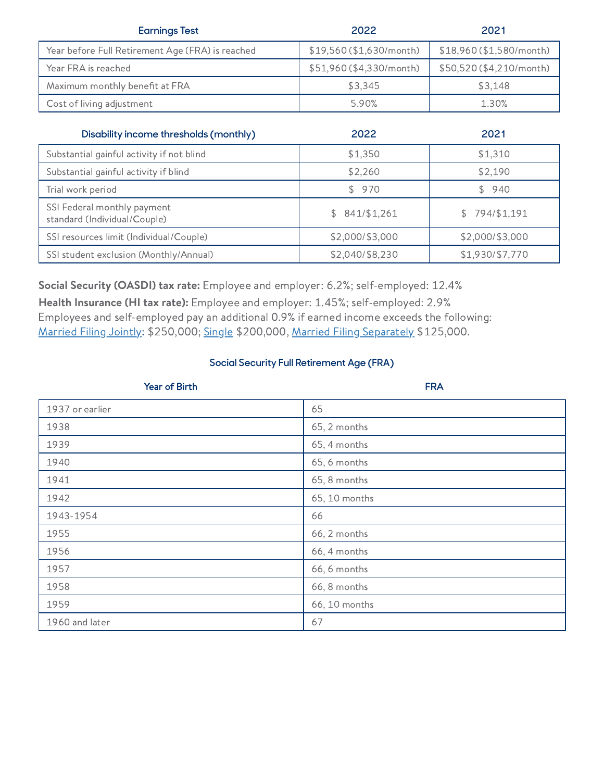| <b>Earnings Test</b>                             | 2022                     | 2021                     |
|--------------------------------------------------|--------------------------|--------------------------|
| Year before Full Retirement Age (FRA) is reached | \$19,560 (\$1,630/month) | \$18,960 (\$1,580/month) |
| Year FRA is reached                              | \$51,960 (\$4,330/month) | \$50,520 (\$4,210/month) |
| Maximum monthly benefit at FRA                   | \$3,345                  | \$3.148                  |
| Cost of living adjustment                        | 5.90%                    | 1.30%                    |

| Disability income thresholds (monthly)                      | 2022            | 2021            |
|-------------------------------------------------------------|-----------------|-----------------|
| Substantial gainful activity if not blind                   | \$1,350         | \$1,310         |
| Substantial gainful activity if blind                       | \$2,260         | \$2,190         |
| Trial work period                                           | \$970           | \$940           |
| SSI Federal monthly payment<br>standard (Individual/Couple) | \$841/\$1,261   | \$794/\$1,191   |
| SSI resources limit (Individual/Couple)                     | \$2,000/\$3,000 | \$2,000/\$3,000 |
| SSI student exclusion (Monthly/Annual)                      | \$2,040/\$8,230 | \$1,930/\$7,770 |

Social Security (OASDI) tax rate: Employee and employer: 6.2%; self-employed: 12.4%

Health Insurance (HI tax rate): Employee and employer: 1.45%; self-employed: 2.9% Employees and self-employed pay an additional 0.9% if earned income exceeds the following: [Married](https://www.irs.gov/newsroom/why-its-important-that-taxpayers-know-and-understand-their-correct-filing-status) Filing Jointly: \$250,000; [Single](https://www.irs.gov/newsroom/why-its-important-that-taxpayers-know-and-understand-their-correct-filing-status) \$200,000, Married Filing [Separately](https://www.irs.gov/newsroom/why-its-important-that-taxpayers-know-and-understand-their-correct-filing-status) \$125,000.

#### **Social Security Full Retirement Age (FRA)**

| Year of Birth   | <b>FRA</b>    |
|-----------------|---------------|
| 1937 or earlier | 65            |
| 1938            | 65, 2 months  |
| 1939            | 65, 4 months  |
| 1940            | 65, 6 months  |
| 1941            | 65, 8 months  |
| 1942            | 65, 10 months |
| 1943-1954       | 66            |
| 1955            | 66, 2 months  |
| 1956            | 66, 4 months  |
| 1957            | 66, 6 months  |
| 1958            | 66, 8 months  |
| 1959            | 66, 10 months |
| 1960 and later  | 67            |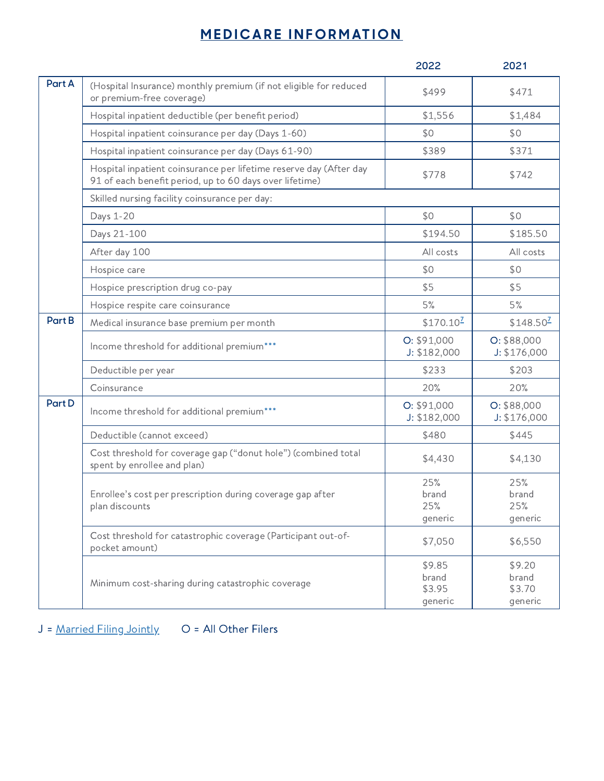### **MEDICARE INFORM[AT](https://www.medicare.gov/)ION**

|        |                                                                                                                               | 2022                                 | 2021                                 |
|--------|-------------------------------------------------------------------------------------------------------------------------------|--------------------------------------|--------------------------------------|
| Part A | (Hospital Insurance) monthly premium (if not eligible for reduced<br>or premium-free coverage)                                | \$499                                | \$471                                |
|        | Hospital inpatient deductible (per benefit period)                                                                            | \$1,556                              | \$1,484                              |
|        | Hospital inpatient coinsurance per day (Days 1-60)                                                                            | \$0                                  | \$0                                  |
|        | Hospital inpatient coinsurance per day (Days 61-90)                                                                           | \$389                                | \$371                                |
|        | Hospital inpatient coinsurance per lifetime reserve day (After day<br>91 of each benefit period, up to 60 days over lifetime) | \$778                                | \$742                                |
|        | Skilled nursing facility coinsurance per day:                                                                                 |                                      |                                      |
|        | Days 1-20                                                                                                                     | \$0                                  | \$0                                  |
|        | Days 21-100                                                                                                                   | \$194.50                             | \$185.50                             |
|        | After day 100                                                                                                                 | All costs                            | All costs                            |
|        | Hospice care                                                                                                                  | \$0                                  | \$0                                  |
|        | Hospice prescription drug co-pay                                                                                              | \$5                                  | \$5                                  |
|        | Hospice respite care coinsurance                                                                                              | 5%                                   | 5%                                   |
| Part B | Medical insurance base premium per month                                                                                      | $$170.10^2$                          | $$148.50^2$                          |
|        | Income threshold for additional premium***                                                                                    | O: \$91,000<br>J: \$182,000          | O: \$88,000<br>J: \$176,000          |
|        | Deductible per year                                                                                                           | \$233                                | \$203                                |
|        | Coinsurance                                                                                                                   | 20%                                  | 20%                                  |
| Part D | Income threshold for additional premium***                                                                                    | O: \$91,000<br>J: \$182,000          | O: \$88,000<br>J: \$176,000          |
|        | Deductible (cannot exceed)                                                                                                    | \$480                                | \$445                                |
|        | Cost threshold for coverage gap ("donut hole") (combined total<br>spent by enrollee and plan)                                 | \$4,430                              | \$4,130                              |
|        | Enrollee's cost per prescription during coverage gap after<br>plan discounts                                                  | 25%<br>brand<br>25%<br>generic       | 25%<br>brand<br>25%<br>generic       |
|        | Cost threshold for catastrophic coverage (Participant out-of-<br>pocket amount)                                               | \$7,050                              | \$6,550                              |
|        | Minimum cost-sharing during catastrophic coverage                                                                             | \$9.85<br>brand<br>\$3.95<br>generic | \$9.20<br>brand<br>\$3.70<br>generic |

J = [Married](https://www.irs.gov/newsroom/why-its-important-that-taxpayers-know-and-understand-their-correct-filing-status) Filing Jointly O = All Other Filers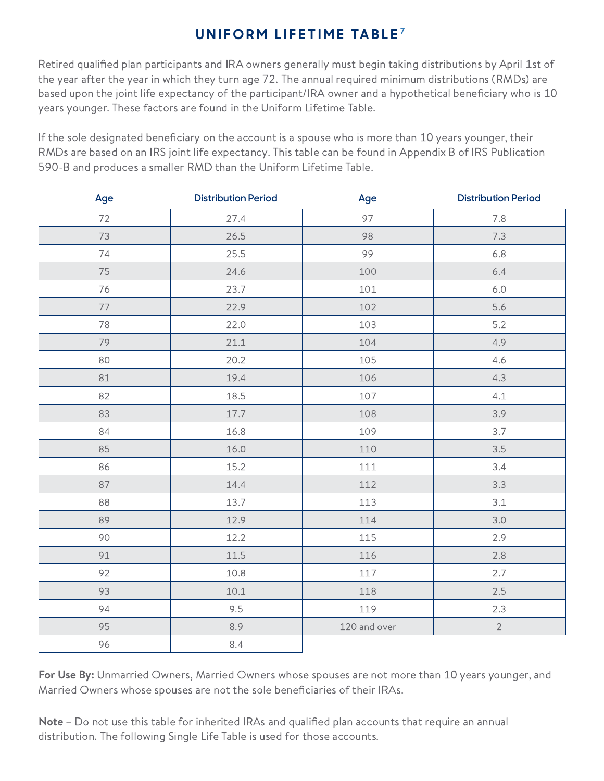### **UNIFORM LIFETIME TABLE<sup>Z</sup>**

Retired qualified plan participants and IRA owners generally must begin taking distributions by April 1st of the year after the year in which they turn age 72. The annual required minimum distributions (RMDs) are based upon the joint life expectancy of the participant/IRA owner and a hypothetical beneficiary who is 10 years younger. These factors are found in the Uniform Lifetime Table.

If the sole designated beneficiary on the account is a spouse who is more than 10 years younger, their RMDs are based on an IRS joint life expectancy. This table can be found in Appendix B of IRS Publication 590-B and produces a smaller RMD than the Uniform Lifetime Table.

| Age | <b>Distribution Period</b> | Age          | <b>Distribution Period</b> |
|-----|----------------------------|--------------|----------------------------|
| 72  | 27.4                       | 97           | 7.8                        |
| 73  | 26.5                       | 98           | 7.3                        |
| 74  | 25.5                       | 99           | 6.8                        |
| 75  | 24.6                       | 100          | 6.4                        |
| 76  | 23.7                       | 101          | $6.0$                      |
| 77  | 22.9                       | 102          | 5.6                        |
| 78  | 22.0                       | 103          | 5.2                        |
| 79  | 21.1                       | 104          | 4.9                        |
| 80  | 20.2                       | 105          | 4.6                        |
| 81  | 19.4                       | 106          | 4.3                        |
| 82  | 18.5                       | 107          | 4.1                        |
| 83  | 17.7                       | 108          | 3.9                        |
| 84  | 16.8                       | 109          | 3.7                        |
| 85  | 16.0                       | 110          | 3.5                        |
| 86  | 15.2                       | 111          | 3.4                        |
| 87  | 14.4                       | 112          | 3.3                        |
| 88  | 13.7                       | 113          | 3.1                        |
| 89  | 12.9                       | 114          | 3.0                        |
| 90  | 12.2                       | 115          | 2.9                        |
| 91  | 11.5                       | 116          | 2.8                        |
| 92  | 10.8                       | $117\,$      | 2.7                        |
| 93  | 10.1                       | 118          | 2.5                        |
| 94  | 9.5                        | 119          | 2.3                        |
| 95  | 8.9                        | 120 and over | $\sqrt{2}$                 |
| 96  | 8.4                        |              |                            |

For Use By: Unmarried Owners, Married Owners whose spouses are not more than 10 years younger, and Married Owners whose spouses are not the sole beneficiaries of their IRAs.

Note - Do not use this table for inherited IRAs and qualified plan accounts that require an annual distribution. The following Single Life Table is used for those accounts.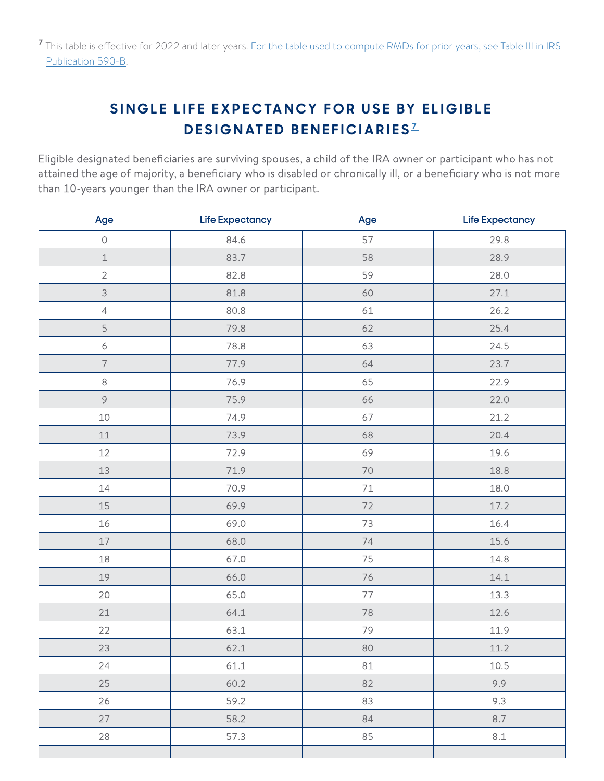# <span id="page-16-0"></span>SINGLE LIFE EXPECTANCY FOR USE BY ELIGIBLE **DESIGNATED BENEFICIARIES**<sup>[7](#page-17-1)</sup>

Eligible designated beneficiaries are surviving spouses, a child of the IRA owner or participant who has not attained the age of majority, a beneficiary who is disabled or chronically ill, or a beneficiary who is not more than 10-years younger than the IRA owner or participant.

| Age                       | <b>Life Expectancy</b> | Age    | Life Expectancy |
|---------------------------|------------------------|--------|-----------------|
| $\bigcirc$                | 84.6                   | 57     | 29.8            |
| $\ensuremath{\mathbbm 1}$ | 83.7                   | 58     | 28.9            |
| $\overline{2}$            | 82.8                   | 59     | 28.0            |
| 3                         | 81.8                   | 60     | 27.1            |
| $\sqrt{4}$                | 80.8                   | 61     | 26.2            |
| 5                         | 79.8                   | 62     | 25.4            |
| $\epsilon$                | 78.8                   | 63     | 24.5            |
| $\overline{\phantom{a}}$  | 77.9                   | 64     | 23.7            |
| $\,8\,$                   | 76.9                   | 65     | 22.9            |
| $\circ$                   | 75.9                   | 66     | 22.0            |
| 10                        | 74.9                   | 67     | 21.2            |
| $11\,$                    | 73.9                   | 68     | 20.4            |
| 12                        | 72.9                   | 69     | 19.6            |
| 13                        | 71.9                   | $70\,$ | 18.8            |
| $14\,$                    | 70.9                   | $71\,$ | 18.0            |
| $15\,$                    | 69.9                   | 72     | 17.2            |
| 16                        | 69.0                   | 73     | 16.4            |
| $17\,$                    | 68.0                   | 74     | 15.6            |
| 18                        | 67.0                   | 75     | 14.8            |
| 19                        | 66.0                   | 76     | 14.1            |
| 20                        | 65.0                   | 77     | 13.3            |
| 21                        | 64.1                   | 78     | 12.6            |
| 22                        | 63.1                   | 79     | 11.9            |
| 23                        | 62.1                   | 80     | 11.2            |
| 24                        | 61.1                   | $8\,1$ | 10.5            |
| 25                        | 60.2                   | 82     | 9.9             |
| 26                        | 59.2                   | 83     | 9.3             |
| 27                        | 58.2                   | 84     | 8.7             |
| 28                        | 57.3                   | 85     | $8.1\,$         |
|                           |                        |        |                 |